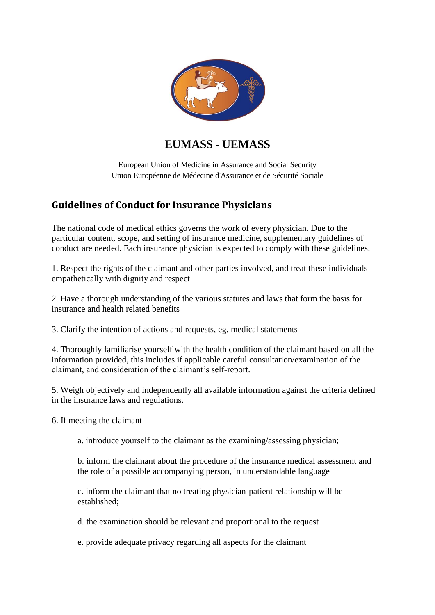

## **EUMASS - UEMASS**

European Union of Medicine in Assurance and Social Security Union Européenne de Médecine d'Assurance et de Sécurité Sociale

## **Guidelines of Conduct for Insurance Physicians**

The national code of medical ethics governs the work of every physician. Due to the particular content, scope, and setting of insurance medicine, supplementary guidelines of conduct are needed. Each insurance physician is expected to comply with these guidelines.

1. Respect the rights of the claimant and other parties involved, and treat these individuals empathetically with dignity and respect

2. Have a thorough understanding of the various statutes and laws that form the basis for insurance and health related benefits

3. Clarify the intention of actions and requests, eg. medical statements

4. Thoroughly familiarise yourself with the health condition of the claimant based on all the information provided, this includes if applicable careful consultation/examination of the claimant, and consideration of the claimant's self-report.

5. Weigh objectively and independently all available information against the criteria defined in the insurance laws and regulations.

6. If meeting the claimant

a. introduce yourself to the claimant as the examining/assessing physician;

b. inform the claimant about the procedure of the insurance medical assessment and the role of a possible accompanying person, in understandable language

c. inform the claimant that no treating physician-patient relationship will be established;

d. the examination should be relevant and proportional to the request

e. provide adequate privacy regarding all aspects for the claimant